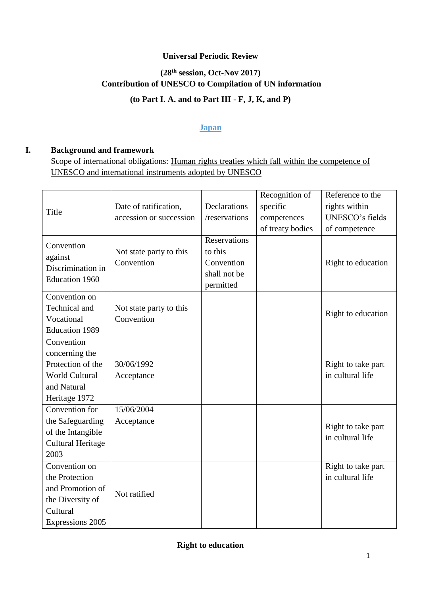## **Universal Periodic Review**

# **(28th session, Oct-Nov 2017) Contribution of UNESCO to Compilation of UN information**

# **(to Part I. A. and to Part III - F, J, K, and P)**

#### **Japan**

#### **I. Background and framework**

Scope of international obligations: Human rights treaties which fall within the competence of UNESCO and international instruments adopted by UNESCO

|                          |                         |               | Recognition of   | Reference to the   |
|--------------------------|-------------------------|---------------|------------------|--------------------|
| Title                    | Date of ratification,   | Declarations  | specific         | rights within      |
|                          | accession or succession | /reservations | competences      | UNESCO's fields    |
|                          |                         |               | of treaty bodies | of competence      |
|                          |                         | Reservations  |                  |                    |
| Convention               | Not state party to this | to this       |                  |                    |
| against                  | Convention              | Convention    |                  | Right to education |
| Discrimination in        |                         | shall not be  |                  |                    |
| <b>Education 1960</b>    |                         | permitted     |                  |                    |
| Convention on            |                         |               |                  |                    |
| Technical and            | Not state party to this |               |                  |                    |
| Vocational               | Convention              |               |                  | Right to education |
| <b>Education 1989</b>    |                         |               |                  |                    |
| Convention               |                         |               |                  |                    |
| concerning the           |                         |               |                  |                    |
| Protection of the        | 30/06/1992              |               |                  | Right to take part |
| <b>World Cultural</b>    | Acceptance              |               |                  | in cultural life   |
| and Natural              |                         |               |                  |                    |
| Heritage 1972            |                         |               |                  |                    |
| Convention for           | 15/06/2004              |               |                  |                    |
| the Safeguarding         | Acceptance              |               |                  | Right to take part |
| of the Intangible        |                         |               |                  | in cultural life   |
| <b>Cultural Heritage</b> |                         |               |                  |                    |
| 2003                     |                         |               |                  |                    |
| Convention on            |                         |               |                  | Right to take part |
| the Protection           |                         |               |                  | in cultural life   |
| and Promotion of         | Not ratified            |               |                  |                    |
| the Diversity of         |                         |               |                  |                    |
| Cultural                 |                         |               |                  |                    |
| Expressions 2005         |                         |               |                  |                    |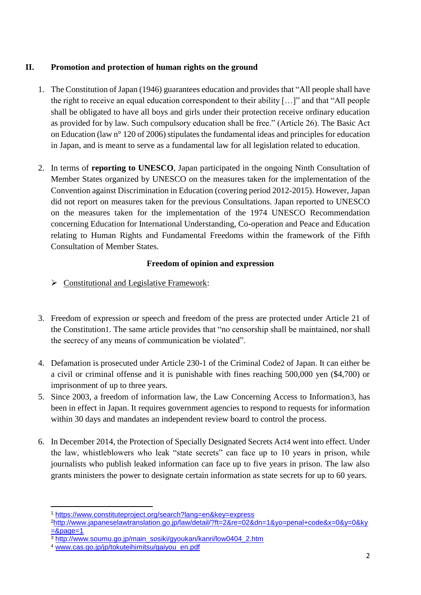#### **II. Promotion and protection of human rights on the ground**

- 1. The Constitution of Japan (1946) guarantees education and provides that "All people shall have the right to receive an equal education correspondent to their ability […]" and that "All people shall be obligated to have all boys and girls under their protection receive ordinary education as provided for by law. Such compulsory education shall be free." (Article 26). The Basic Act on Education (law n° 120 of 2006) stipulates the fundamental ideas and principles for education in Japan, and is meant to serve as a fundamental law for all legislation related to education.
- 2. In terms of **reporting to UNESCO**, Japan participated in the ongoing Ninth Consultation of Member States organized by UNESCO on the measures taken for the implementation of the Convention against Discrimination in Education (covering period 2012-2015). However, Japan did not report on measures taken for the previous Consultations. Japan reported to UNESCO on the measures taken for the implementation of the 1974 UNESCO Recommendation concerning Education for International Understanding, Co-operation and Peace and Education relating to Human Rights and Fundamental Freedoms within the framework of the Fifth Consultation of Member States.

#### **Freedom of opinion and expression**

- $\triangleright$  Constitutional and Legislative Framework:
- 3. Freedom of expression or speech and freedom of the press are protected under Article 21 of the Constitution1. The same article provides that "no censorship shall be maintained, nor shall the secrecy of any means of communication be violated".
- 4. Defamation is prosecuted under Article 230-1 of the Criminal Code2 of Japan. It can either be a civil or criminal offense and it is punishable with fines reaching 500,000 yen (\$4,700) or imprisonment of up to three years.
- 5. Since 2003, a freedom of information law, the Law Concerning Access to Information3, has been in effect in Japan. It requires government agencies to respond to requests for information within 30 days and mandates an independent review board to control the process.
- 6. In December 2014, the Protection of Specially Designated Secrets Act4 went into effect. Under the law, whistleblowers who leak "state secrets" can face up to 10 years in prison, while journalists who publish leaked information can face up to five years in prison. The law also grants ministers the power to designate certain information as state secrets for up to 60 years.

**.** 

<sup>1</sup> https://www.constituteproject.org/search?lang=en&key=express

<sup>2</sup>http://www.japaneselawtranslation.go.jp/law/detail/?ft=2&re=02&dn=1&yo=penal+code&x=0&y=0&ky  $=$ &page=1

<sup>&</sup>lt;sup>3</sup> http://www.soumu.go.jp/main\_sosiki/gyoukan/kanri/low0404\_2.htm

<sup>4</sup> www.cas.go.jp/jp/tokuteihimitsu/gaiyou\_en.pdf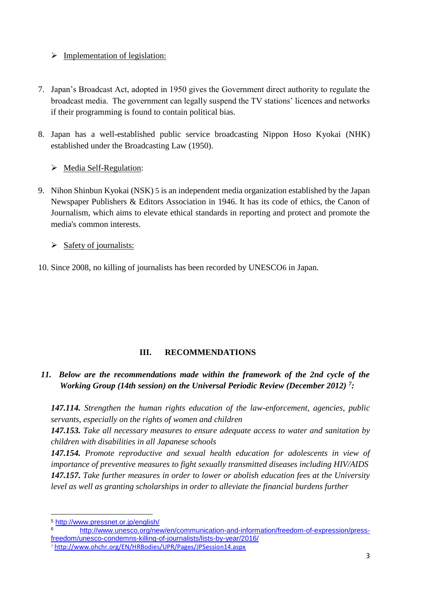#### $\triangleright$  Implementation of legislation:

- 7. Japan's Broadcast Act, adopted in 1950 gives the Government direct authority to regulate the broadcast media. The government can legally suspend the TV stations' licences and networks if their programming is found to contain political bias.
- 8. Japan has a well-established public service broadcasting Nippon Hoso Kyokai (NHK) established under the Broadcasting Law (1950).
	- $\triangleright$  Media Self-Regulation:
- 9. Nihon Shinbun Kyokai (NSK) 5 is an independent media organization established by the Japan Newspaper Publishers & Editors Association in 1946. It has its code of ethics, the Canon of Journalism, which aims to elevate ethical standards in reporting and protect and promote the media's common interests.
	- $\triangleright$  Safety of journalists:
- 10. Since 2008, no killing of journalists has been recorded by UNESCO6 in Japan.

## **III. RECOMMENDATIONS**

# *11. Below are the recommendations made within the framework of the 2nd cycle of the Working Group (14th session) on the Universal Periodic Review (December 2012) <sup>7</sup> :*

*147.114. Strengthen the human rights education of the law-enforcement, agencies, public servants, especially on the rights of women and children*

*147.153. Take all necessary measures to ensure adequate access to water and sanitation by children with disabilities in all Japanese schools*

*147.154. Promote reproductive and sexual health education for adolescents in view of importance of preventive measures to fight sexually transmitted diseases including HIV/AIDS 147.157. Take further measures in order to lower or abolish education fees at the University level as well as granting scholarships in order to alleviate the financial burdens further*

**<sup>.</sup>** 5 http://www.pressnet.or.jp/english/<br>6 http://www.upesco.org/per

http://www.unesco.org/new/en/communication-and-information/freedom-of-expression/pressfreedom/unesco-condemns-killing-of-journalists/lists-by-year/2016/

<sup>7</sup> <http://www.ohchr.org/EN/HRBodies/UPR/Pages/JPSession14.aspx>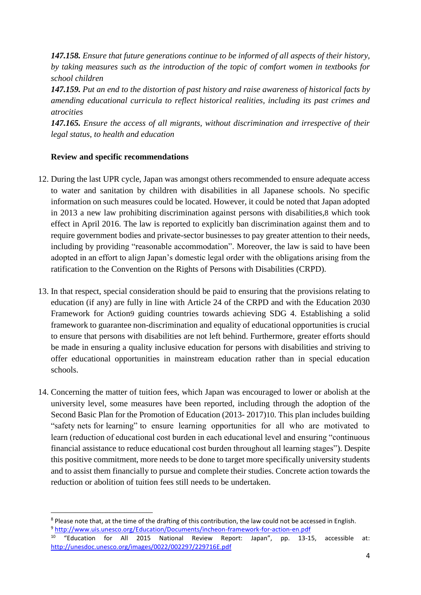*147.158. Ensure that future generations continue to be informed of all aspects of their history, by taking measures such as the introduction of the topic of comfort women in textbooks for school children*

*147.159. Put an end to the distortion of past history and raise awareness of historical facts by amending educational curricula to reflect historical realities, including its past crimes and atrocities*

*147.165. Ensure the access of all migrants, without discrimination and irrespective of their legal status, to health and education*

#### **Review and specific recommendations**

- 12. During the last UPR cycle, Japan was amongst others recommended to ensure adequate access to water and sanitation by children with disabilities in all Japanese schools. No specific information on such measures could be located. However, it could be noted that Japan adopted in 2013 a new law prohibiting discrimination against persons with disabilities,8 which took effect in April 2016. The law is reported to explicitly ban discrimination against them and to require government bodies and private-sector businesses to pay greater attention to their needs, including by providing "reasonable accommodation". Moreover, the law is said to have been adopted in an effort to align Japan's domestic legal order with the obligations arising from the ratification to the Convention on the Rights of Persons with Disabilities (CRPD).
- 13. In that respect, special consideration should be paid to ensuring that the provisions relating to education (if any) are fully in line with Article 24 of the CRPD and with the Education 2030 Framework for Action9 guiding countries towards achieving SDG 4. Establishing a solid framework to guarantee non-discrimination and equality of educational opportunities is crucial to ensure that persons with disabilities are not left behind. Furthermore, greater efforts should be made in ensuring a quality inclusive education for persons with disabilities and striving to offer educational opportunities in mainstream education rather than in special education schools.
- 14. Concerning the matter of tuition fees, which Japan was encouraged to lower or abolish at the university level, some measures have been reported, including through the adoption of the Second Basic Plan for the Promotion of Education (2013- 2017)10. This plan includes building "safety nets for learning" to ensure learning opportunities for all who are motivated to learn (reduction of educational cost burden in each educational level and ensuring "continuous financial assistance to reduce educational cost burden throughout all learning stages"). Despite this positive commitment, more needs to be done to target more specifically university students and to assist them financially to pursue and complete their studies. Concrete action towards the reduction or abolition of tuition fees still needs to be undertaken.

<sup>1</sup> <sup>8</sup> Please note that, at the time of the drafting of this contribution, the law could not be accessed in English. <sup>9</sup> <http://www.uis.unesco.org/Education/Documents/incheon-framework-for-action-en.pdf>

<sup>&</sup>lt;sup>10</sup> "Education for All 2015 National Review Report: Japan", pp. 13-15, accessible at: <http://unesdoc.unesco.org/images/0022/002297/229716E.pdf>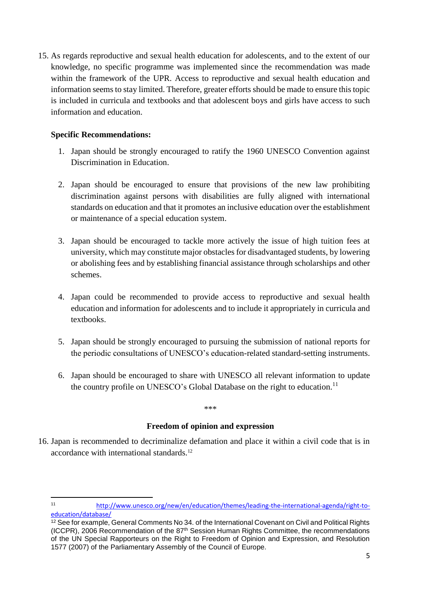15. As regards reproductive and sexual health education for adolescents, and to the extent of our knowledge, no specific programme was implemented since the recommendation was made within the framework of the UPR. Access to reproductive and sexual health education and information seems to stay limited. Therefore, greater efforts should be made to ensure this topic is included in curricula and textbooks and that adolescent boys and girls have access to such information and education.

#### **Specific Recommendations:**

- 1. Japan should be strongly encouraged to ratify the 1960 UNESCO Convention against Discrimination in Education.
- 2. Japan should be encouraged to ensure that provisions of the new law prohibiting discrimination against persons with disabilities are fully aligned with international standards on education and that it promotes an inclusive education over the establishment or maintenance of a special education system.
- 3. Japan should be encouraged to tackle more actively the issue of high tuition fees at university, which may constitute major obstacles for disadvantaged students, by lowering or abolishing fees and by establishing financial assistance through scholarships and other schemes.
- 4. Japan could be recommended to provide access to reproductive and sexual health education and information for adolescents and to include it appropriately in curricula and textbooks.
- 5. Japan should be strongly encouraged to pursuing the submission of national reports for the periodic consultations of UNESCO's education-related standard-setting instruments.
- 6. Japan should be encouraged to share with UNESCO all relevant information to update the country profile on UNESCO's Global Database on the right to education.<sup>11</sup>

#### \*\*\*

## **Freedom of opinion and expression**

16. Japan is recommended to decriminalize defamation and place it within a civil code that is in accordance with international standards.<sup>12</sup>

 $11$ <sup>11</sup> [http://www.unesco.org/new/en/education/themes/leading-the-international-agenda/right-to](http://www.unesco.org/new/en/education/themes/leading-the-international-agenda/right-to-education/database/)[education/database/](http://www.unesco.org/new/en/education/themes/leading-the-international-agenda/right-to-education/database/)

<sup>12</sup> See for example, General Comments No 34. of the International Covenant on Civil and Political Rights (ICCPR), 2006 Recommendation of the 87th Session Human Rights Committee, the recommendations of the UN Special Rapporteurs on the Right to Freedom of Opinion and Expression, and Resolution 1577 (2007) of the Parliamentary Assembly of the Council of Europe.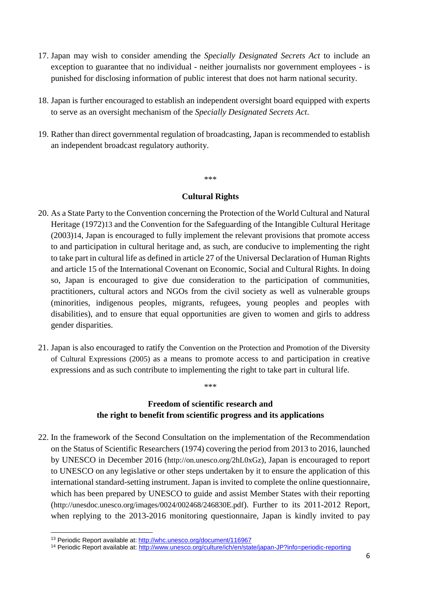- 17. Japan may wish to consider amending the *Specially Designated Secrets Act* to include an exception to guarantee that no individual - neither journalists nor government employees - is punished for disclosing information of public interest that does not harm national security.
- 18. Japan is further encouraged to establish an independent oversight board equipped with experts to serve as an oversight mechanism of the *Specially Designated Secrets Act*.
- 19. Rather than direct governmental regulation of broadcasting, Japan is recommended to establish an independent broadcast regulatory authority.

\*\*\*

#### **Cultural Rights**

- 20. As a State Party to the Convention concerning the Protection of the World Cultural and Natural Heritage (1972)13 and the Convention for the Safeguarding of the Intangible Cultural Heritage (2003)14, Japan is encouraged to fully implement the relevant provisions that promote access to and participation in cultural heritage and, as such, are conducive to implementing the right to take part in cultural life as defined in article 27 of the Universal Declaration of Human Rights and article 15 of the International Covenant on Economic, Social and Cultural Rights. In doing so, Japan is encouraged to give due consideration to the participation of communities, practitioners, cultural actors and NGOs from the civil society as well as vulnerable groups (minorities, indigenous peoples, migrants, refugees, young peoples and peoples with disabilities), and to ensure that equal opportunities are given to women and girls to address gender disparities.
- 21. Japan is also encouraged to ratify the Convention on the Protection and Promotion of the Diversity of Cultural Expressions (2005) as a means to promote access to and participation in creative expressions and as such contribute to implementing the right to take part in cultural life.

# **Freedom of scientific research and the right to benefit from scientific progress and its applications**

\*\*\*

22. In the framework of the Second Consultation on the implementation of the Recommendation on the Status of Scientific Researchers (1974) covering the period from 2013 to 2016, launched by UNESCO in December 2016 ([http://on.unesco.org/2hL0xGz](https://mail.unesco.org/owa/redir.aspx?C=RCVRlWmd4IyxP0xlwPW7nU5MKKtfg7Ek0gxa8PmIh6yZB_tcwD7UCA..&URL=http%3a%2f%2fon.unesco.org%2f2hL0xGz)), Japan is encouraged to report to UNESCO on any legislative or other steps undertaken by it to ensure the application of this international standard-setting instrument. Japan is invited to complete the online questionnaire, which has been prepared by UNESCO to guide and assist Member States with their reporting ([http://unesdoc.unesco.org/images/0024/002468/246830E.pdf](https://mail.unesco.org/owa/redir.aspx?C=Jp8NJGvMIE1eP_zc1PYB9VEMRusMFWC-wSSb6VH9iBUVdk59yD7UCA..&URL=http%3a%2f%2funesdoc.unesco.org%2fimages%2f0024%2f002468%2f246830E.pdf)). Further to its 2011-2012 Report, when replying to the 2013-2016 monitoring questionnaire, Japan is kindly invited to pay

1

<sup>13</sup> Periodic Report available at: <http://whc.unesco.org/document/116967>

<sup>14</sup> Periodic Report available at:<http://www.unesco.org/culture/ich/en/state/japan-JP?info=periodic-reporting>